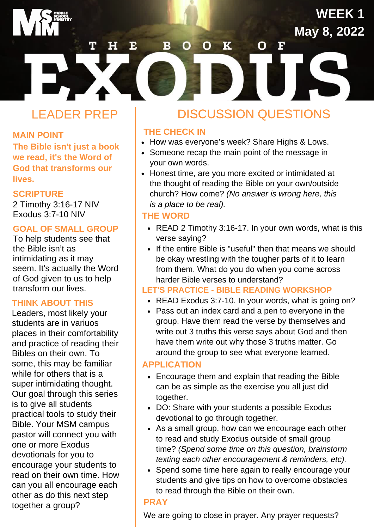# LEADER PREP

#### **MAIN POINT**

**The Bible isn't just a book we read, it's the Word of God that transforms our lives.**

#### **SCRIPTURE**

2 Timothy 3:16-17 NIV Exodus 3:7-10 NIV

#### **GOAL OF SMALL GROUP**

To help students see that the Bible isn't as intimidating as it may seem. It's actually the Word of God given to us to help transform our lives.

#### **THINK ABOUT THIS**

Leaders, most likely your students are in variuos places in their comfortability and practice of reading their Bibles on their own. To some, this may be familiar while for others that is a super intimidating thought. Our goal through this series is to give all students practical tools to study their Bible. Your MSM campus pastor will connect you with one or more Exodus devotionals for you to encourage your students to read on their own time. How can you all encourage each other as do this next step together a group?

## DISCUSSION QUESTIONS

**WEEK1** 

May 8, 2022

## **THE CHECK IN**

 $\mathbf B$ 

O

E

• How was everyone's week? Share Highs & Lows.

 $\Omega$ 

 $\overline{\mathbf{K}}$ 

- Someone recap the main point of the message in your own words.
- Honest time, are you more excited or intimidated at the thought of reading the Bible on your own/outside church? How come? *(No answer is wrong here, this is a place to be real).*

#### **THE WORD**

- READ 2 Timothy 3:16-17. In your own words, what is this verse saying?
- If the entire Bible is "useful" then that means we should be okay wrestling with the tougher parts of it to learn from them. What do you do when you come across harder Bible verses to understand?

#### **LET'S PRACTICE - BIBLE READING WORKSHOP**

- READ Exodus 3:7-10. In your words, what is going on?
- Pass out an index card and a pen to everyone in the group. Have them read the verse by themselves and write out 3 truths this verse says about God and then have them write out why those 3 truths matter. Go around the group to see what everyone learned.

#### **APPLICATION**

- Encourage them and explain that reading the Bible can be as simple as the exercise you all just did together.
- DO: Share with your students a possible Exodus devotional to go through together.
- As a small group, how can we encourage each other to read and study Exodus outside of small group time? *(Spend some time on this question, brainstorm texting each other encouragement & reminders, etc).*
- Spend some time here again to really encourage your students and give tips on how to overcome obstacles to read through the Bible on their own.

#### **PRAY**

We are going to close in prayer. Any prayer requests?